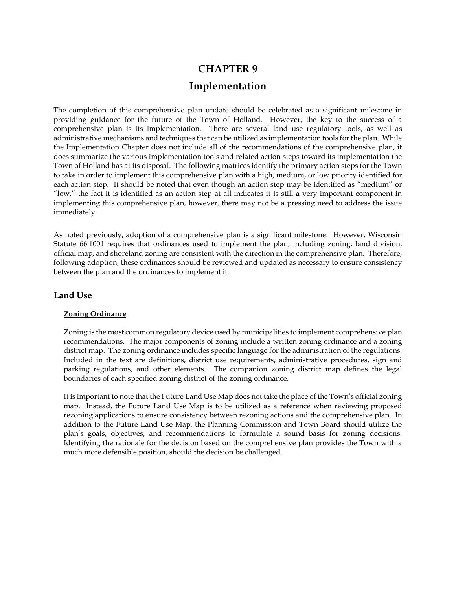# **CHAPTER 9 Implementation**

The completion of this comprehensive plan update should be celebrated as a significant milestone in providing guidance for the future of the Town of Holland. However, the key to the success of a comprehensive plan is its implementation. There are several land use regulatory tools, as well as administrative mechanisms and techniques that can be utilized as implementation tools for the plan. While the Implementation Chapter does not include all of the recommendations of the comprehensive plan, it does summarize the various implementation tools and related action steps toward its implementation the Town of Holland has at its disposal. The following matrices identify the primary action steps for the Town to take in order to implement this comprehensive plan with a high, medium, or low priority identified for each action step. It should be noted that even though an action step may be identified as "medium" or "low," the fact it is identified as an action step at all indicates it is still a very important component in implementing this comprehensive plan, however, there may not be a pressing need to address the issue immediately.

As noted previously, adoption of a comprehensive plan is a significant milestone. However, Wisconsin Statute 66.1001 requires that ordinances used to implement the plan, including zoning, land division, official map, and shoreland zoning are consistent with the direction in the comprehensive plan. Therefore, following adoption, these ordinances should be reviewed and updated as necessary to ensure consistency between the plan and the ordinances to implement it.

#### **Land Use**

#### **Zoning Ordinance**

Zoning is the most common regulatory device used by municipalities to implement comprehensive plan recommendations. The major components of zoning include a written zoning ordinance and a zoning district map. The zoning ordinance includes specific language for the administration of the regulations. Included in the text are definitions, district use requirements, administrative procedures, sign and parking regulations, and other elements. The companion zoning district map defines the legal boundaries of each specified zoning district of the zoning ordinance.

It is important to note that the Future Land Use Map does not take the place of the Town's official zoning map. Instead, the Future Land Use Map is to be utilized as a reference when reviewing proposed rezoning applications to ensure consistency between rezoning actions and the comprehensive plan. In addition to the Future Land Use Map, the Planning Commission and Town Board should utilize the plan's goals, objectives, and recommendations to formulate a sound basis for zoning decisions. Identifying the rationale for the decision based on the comprehensive plan provides the Town with a much more defensible position, should the decision be challenged.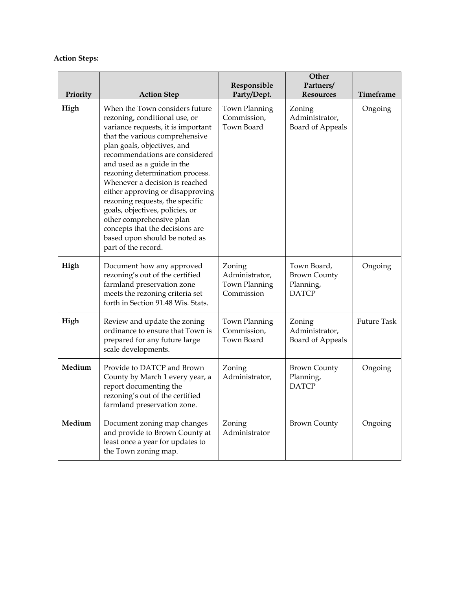### **Action Steps:**

| Priority | <b>Action Step</b>                                                                                                                                                                                                                                                                                                                                                                                                                                                                                                                           | Responsible<br>Party/Dept.                                     | Other<br>Partners/<br><b>Resources</b>                          | Timeframe          |
|----------|----------------------------------------------------------------------------------------------------------------------------------------------------------------------------------------------------------------------------------------------------------------------------------------------------------------------------------------------------------------------------------------------------------------------------------------------------------------------------------------------------------------------------------------------|----------------------------------------------------------------|-----------------------------------------------------------------|--------------------|
| High     | When the Town considers future<br>rezoning, conditional use, or<br>variance requests, it is important<br>that the various comprehensive<br>plan goals, objectives, and<br>recommendations are considered<br>and used as a guide in the<br>rezoning determination process.<br>Whenever a decision is reached<br>either approving or disapproving<br>rezoning requests, the specific<br>goals, objectives, policies, or<br>other comprehensive plan<br>concepts that the decisions are<br>based upon should be noted as<br>part of the record. | Town Planning<br>Commission,<br>Town Board                     | Zoning<br>Administrator,<br><b>Board of Appeals</b>             | Ongoing            |
| High     | Document how any approved<br>rezoning's out of the certified<br>farmland preservation zone<br>meets the rezoning criteria set<br>forth in Section 91.48 Wis. Stats.                                                                                                                                                                                                                                                                                                                                                                          | Zoning<br>Administrator,<br><b>Town Planning</b><br>Commission | Town Board,<br><b>Brown County</b><br>Planning,<br><b>DATCP</b> | Ongoing            |
| High     | Review and update the zoning<br>ordinance to ensure that Town is<br>prepared for any future large<br>scale developments.                                                                                                                                                                                                                                                                                                                                                                                                                     | Town Planning<br>Commission,<br>Town Board                     | Zoning<br>Administrator,<br><b>Board of Appeals</b>             | <b>Future Task</b> |
| Medium   | Provide to DATCP and Brown<br>County by March 1 every year, a<br>report documenting the<br>rezoning's out of the certified<br>farmland preservation zone.                                                                                                                                                                                                                                                                                                                                                                                    | Zoning<br>Administrator,                                       | <b>Brown County</b><br>Planning,<br><b>DATCP</b>                | Ongoing            |
| Medium   | Document zoning map changes<br>and provide to Brown County at<br>least once a year for updates to<br>the Town zoning map.                                                                                                                                                                                                                                                                                                                                                                                                                    | Zoning<br>Administrator                                        | <b>Brown County</b>                                             | Ongoing            |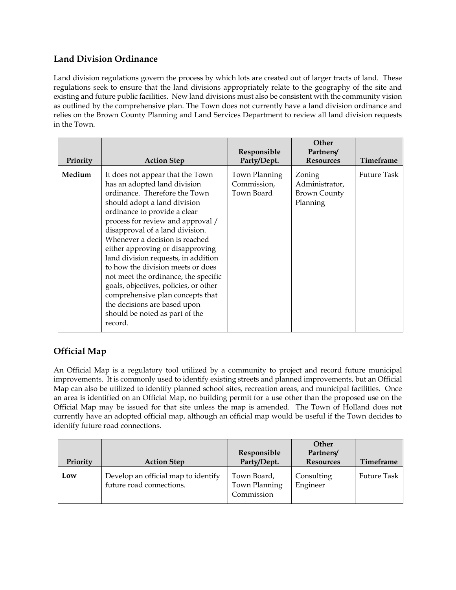## **Land Division Ordinance**

Land division regulations govern the process by which lots are created out of larger tracts of land. These regulations seek to ensure that the land divisions appropriately relate to the geography of the site and existing and future public facilities. New land divisions must also be consistent with the community vision as outlined by the comprehensive plan. The Town does not currently have a land division ordinance and relies on the Brown County Planning and Land Services Department to review all land division requests in the Town.

| Priority | <b>Action Step</b>                                                                                                                                                                                                                                                                                                                                                                                                                                                                                                                                                                            | Responsible<br>Party/Dept.                 | Other<br>Partners/<br><b>Resources</b>                      | Timeframe          |
|----------|-----------------------------------------------------------------------------------------------------------------------------------------------------------------------------------------------------------------------------------------------------------------------------------------------------------------------------------------------------------------------------------------------------------------------------------------------------------------------------------------------------------------------------------------------------------------------------------------------|--------------------------------------------|-------------------------------------------------------------|--------------------|
| Medium   | It does not appear that the Town<br>has an adopted land division<br>ordinance. Therefore the Town<br>should adopt a land division<br>ordinance to provide a clear<br>process for review and approval /<br>disapproval of a land division.<br>Whenever a decision is reached<br>either approving or disapproving<br>land division requests, in addition<br>to how the division meets or does<br>not meet the ordinance, the specific<br>goals, objectives, policies, or other<br>comprehensive plan concepts that<br>the decisions are based upon<br>should be noted as part of the<br>record. | Town Planning<br>Commission,<br>Town Board | Zoning<br>Administrator,<br><b>Brown County</b><br>Planning | <b>Future Task</b> |

# **Official Map**

An Official Map is a regulatory tool utilized by a community to project and record future municipal improvements. It is commonly used to identify existing streets and planned improvements, but an Official Map can also be utilized to identify planned school sites, recreation areas, and municipal facilities. Once an area is identified on an Official Map, no building permit for a use other than the proposed use on the Official Map may be issued for that site unless the map is amended. The Town of Holland does not currently have an adopted official map, although an official map would be useful if the Town decides to identify future road connections.

| Priority | <b>Action Step</b>                                              | Responsible<br>Party/Dept.                 | <b>Other</b><br>Partners/<br><b>Resources</b> | Timeframe          |
|----------|-----------------------------------------------------------------|--------------------------------------------|-----------------------------------------------|--------------------|
| Low      | Develop an official map to identify<br>future road connections. | Town Board,<br>Town Planning<br>Commission | Consulting<br>Engineer                        | <b>Future Task</b> |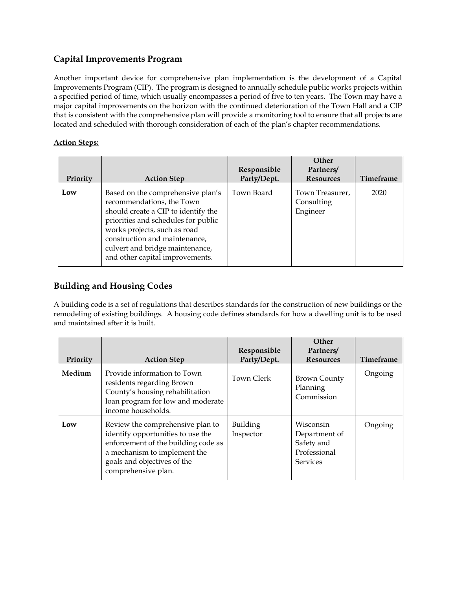# **Capital Improvements Program**

Another important device for comprehensive plan implementation is the development of a Capital Improvements Program (CIP). The program is designed to annually schedule public works projects within a specified period of time, which usually encompasses a period of five to ten years. The Town may have a major capital improvements on the horizon with the continued deterioration of the Town Hall and a CIP that is consistent with the comprehensive plan will provide a monitoring tool to ensure that all projects are located and scheduled with thorough consideration of each of the plan's chapter recommendations.

### **Action Steps:**

| Priority | <b>Action Step</b>                                                                                                                                                                                                                                                                  | Responsible<br>Party/Dept. | Other<br>Partners/<br><b>Resources</b>    | <b>Timeframe</b> |
|----------|-------------------------------------------------------------------------------------------------------------------------------------------------------------------------------------------------------------------------------------------------------------------------------------|----------------------------|-------------------------------------------|------------------|
| Low      | Based on the comprehensive plan's<br>recommendations, the Town<br>should create a CIP to identify the<br>priorities and schedules for public<br>works projects, such as road<br>construction and maintenance,<br>culvert and bridge maintenance,<br>and other capital improvements. | Town Board                 | Town Treasurer,<br>Consulting<br>Engineer | 2020             |

# **Building and Housing Codes**

A building code is a set of regulations that describes standards for the construction of new buildings or the remodeling of existing buildings. A housing code defines standards for how a dwelling unit is to be used and maintained after it is built.

| Priority | <b>Action Step</b>                                                                                                                                                                                 | Responsible<br>Party/Dept. | <b>Other</b><br>Partners/<br><b>Resources</b>                                      | <b>Timeframe</b> |
|----------|----------------------------------------------------------------------------------------------------------------------------------------------------------------------------------------------------|----------------------------|------------------------------------------------------------------------------------|------------------|
| Medium   | Provide information to Town<br>residents regarding Brown<br>County's housing rehabilitation<br>loan program for low and moderate<br>income households.                                             | Town Clerk                 | <b>Brown County</b><br>Planning<br>Commission                                      | Ongoing          |
| Low      | Review the comprehensive plan to<br>identify opportunities to use the<br>enforcement of the building code as<br>a mechanism to implement the<br>goals and objectives of the<br>comprehensive plan. | Building<br>Inspector      | <b>Wisconsin</b><br>Department of<br>Safety and<br>Professional<br><b>Services</b> | Ongoing          |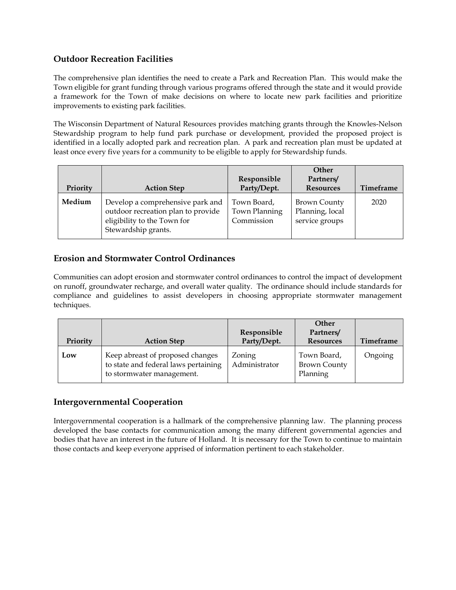### **Outdoor Recreation Facilities**

The comprehensive plan identifies the need to create a Park and Recreation Plan. This would make the Town eligible for grant funding through various programs offered through the state and it would provide a framework for the Town of make decisions on where to locate new park facilities and prioritize improvements to existing park facilities.

The Wisconsin Department of Natural Resources provides matching grants through the Knowles-Nelson Stewardship program to help fund park purchase or development, provided the proposed project is identified in a locally adopted park and recreation plan. A park and recreation plan must be updated at least once every five years for a community to be eligible to apply for Stewardship funds.

| Priority | <b>Action Step</b>                                                                                                           | Responsible<br>Party/Dept.                 | Other<br>Partners/<br><b>Resources</b>                   | Timeframe |
|----------|------------------------------------------------------------------------------------------------------------------------------|--------------------------------------------|----------------------------------------------------------|-----------|
| Medium   | Develop a comprehensive park and<br>outdoor recreation plan to provide<br>eligibility to the Town for<br>Stewardship grants. | Town Board,<br>Town Planning<br>Commission | <b>Brown County</b><br>Planning, local<br>service groups | 2020      |

# **Erosion and Stormwater Control Ordinances**

Communities can adopt erosion and stormwater control ordinances to control the impact of development on runoff, groundwater recharge, and overall water quality. The ordinance should include standards for compliance and guidelines to assist developers in choosing appropriate stormwater management techniques.

| Priority | <b>Action Step</b>                                                                                    | Responsible<br>Party/Dept. | <b>Other</b><br>Partners/<br><b>Resources</b>  | Timeframe |
|----------|-------------------------------------------------------------------------------------------------------|----------------------------|------------------------------------------------|-----------|
| Low      | Keep abreast of proposed changes<br>to state and federal laws pertaining<br>to stormwater management. | Zoning<br>Administrator    | Town Board,<br><b>Brown County</b><br>Planning | Ongoing   |

### **Intergovernmental Cooperation**

Intergovernmental cooperation is a hallmark of the comprehensive planning law. The planning process developed the base contacts for communication among the many different governmental agencies and bodies that have an interest in the future of Holland. It is necessary for the Town to continue to maintain those contacts and keep everyone apprised of information pertinent to each stakeholder.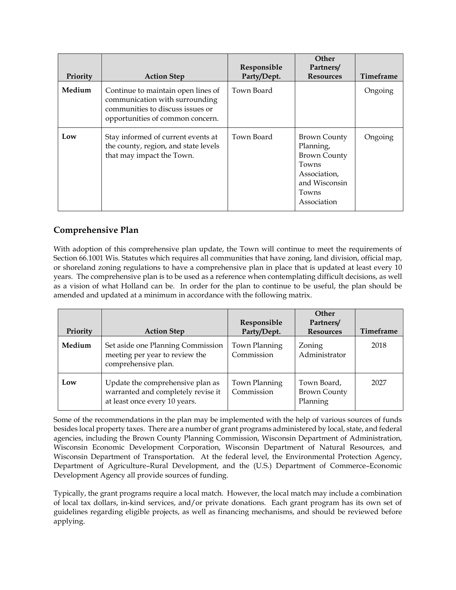| Priority | <b>Action Step</b>                                                                                                                           | Responsible<br>Party/Dept. | Other<br>Partners/<br><b>Resources</b>                                                                             | <b>Timeframe</b> |
|----------|----------------------------------------------------------------------------------------------------------------------------------------------|----------------------------|--------------------------------------------------------------------------------------------------------------------|------------------|
| Medium   | Continue to maintain open lines of<br>communication with surrounding<br>communities to discuss issues or<br>opportunities of common concern. | Town Board                 |                                                                                                                    | Ongoing          |
| Low      | Stay informed of current events at<br>the county, region, and state levels<br>that may impact the Town.                                      | Town Board                 | Brown County<br>Planning,<br><b>Brown County</b><br>Towns<br>Association,<br>and Wisconsin<br>Towns<br>Association | Ongoing          |

### **Comprehensive Plan**

With adoption of this comprehensive plan update, the Town will continue to meet the requirements of Section 66.1001 Wis. Statutes which requires all communities that have zoning, land division, official map, or shoreland zoning regulations to have a comprehensive plan in place that is updated at least every 10 years. The comprehensive plan is to be used as a reference when contemplating difficult decisions, as well as a vision of what Holland can be. In order for the plan to continue to be useful, the plan should be amended and updated at a minimum in accordance with the following matrix.

| Priority | <b>Action Step</b>                                                                                      | Responsible<br>Party/Dept.  | <b>Other</b><br>Partners/<br><b>Resources</b>  | Timeframe |
|----------|---------------------------------------------------------------------------------------------------------|-----------------------------|------------------------------------------------|-----------|
| Medium   | Set aside one Planning Commission<br>meeting per year to review the<br>comprehensive plan.              | Town Planning<br>Commission | Zoning<br>Administrator                        | 2018      |
| Low      | Update the comprehensive plan as<br>warranted and completely revise it<br>at least once every 10 years. | Town Planning<br>Commission | Town Board,<br><b>Brown County</b><br>Planning | 2027      |

Some of the recommendations in the plan may be implemented with the help of various sources of funds besides local property taxes. There are a number of grant programs administered by local, state, and federal agencies, including the Brown County Planning Commission, Wisconsin Department of Administration, Wisconsin Economic Development Corporation, Wisconsin Department of Natural Resources, and Wisconsin Department of Transportation. At the federal level, the Environmental Protection Agency, Department of Agriculture–Rural Development, and the (U.S.) Department of Commerce–Economic Development Agency all provide sources of funding.

Typically, the grant programs require a local match. However, the local match may include a combination of local tax dollars, in-kind services, and/or private donations. Each grant program has its own set of guidelines regarding eligible projects, as well as financing mechanisms, and should be reviewed before applying.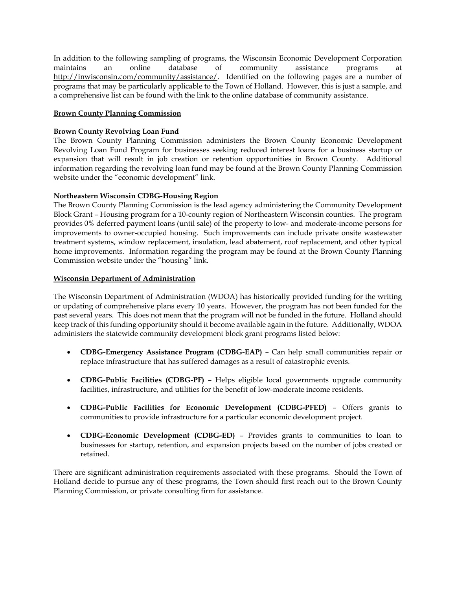In addition to the following sampling of programs, the Wisconsin Economic Development Corporation maintains an online database of community assistance programs at http://inwisconsin.com/community/assistance/. Identified on the following pages are a number of programs that may be particularly applicable to the Town of Holland. However, this is just a sample, and a comprehensive list can be found with the link to the online database of community assistance.

#### **Brown County Planning Commission**

#### **Brown County Revolving Loan Fund**

The Brown County Planning Commission administers the Brown County Economic Development Revolving Loan Fund Program for businesses seeking reduced interest loans for a business startup or expansion that will result in job creation or retention opportunities in Brown County. Additional information regarding the revolving loan fund may be found at the Brown County Planning Commission website under the "economic development" link.

#### **Northeastern Wisconsin CDBG-Housing Region**

The Brown County Planning Commission is the lead agency administering the Community Development Block Grant – Housing program for a 10-county region of Northeastern Wisconsin counties. The program provides 0% deferred payment loans (until sale) of the property to low- and moderate-income persons for improvements to owner-occupied housing. Such improvements can include private onsite wastewater treatment systems, window replacement, insulation, lead abatement, roof replacement, and other typical home improvements. Information regarding the program may be found at the Brown County Planning Commission website under the "housing" link.

#### **Wisconsin Department of Administration**

The Wisconsin Department of Administration (WDOA) has historically provided funding for the writing or updating of comprehensive plans every 10 years. However, the program has not been funded for the past several years. This does not mean that the program will not be funded in the future. Holland should keep track of this funding opportunity should it become available again in the future. Additionally, WDOA administers the statewide community development block grant programs listed below:

- **CDBG-Emergency Assistance Program (CDBG-EAP)** Can help small communities repair or replace infrastructure that has suffered damages as a result of catastrophic events.
- **CDBG-Public Facilities (CDBG-PF)**  Helps eligible local governments upgrade community facilities, infrastructure, and utilities for the benefit of low-moderate income residents.
- **CDBG-Public Facilities for Economic Development (CDBG-PFED)**  Offers grants to communities to provide infrastructure for a particular economic development project.
- **CDBG-Economic Development (CDBG-ED)**  Provides grants to communities to loan to businesses for startup, retention, and expansion projects based on the number of jobs created or retained.

There are significant administration requirements associated with these programs. Should the Town of Holland decide to pursue any of these programs, the Town should first reach out to the Brown County Planning Commission, or private consulting firm for assistance.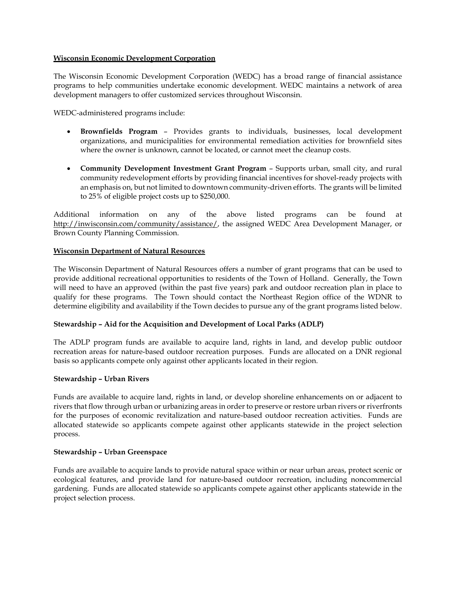#### **Wisconsin Economic Development Corporation**

The Wisconsin Economic Development Corporation (WEDC) has a broad range of financial assistance programs to help communities undertake economic development. WEDC maintains a network of area development managers to offer customized services throughout Wisconsin.

WEDC-administered programs include:

- **Brownfields Program** Provides grants to individuals, businesses, local development organizations, and municipalities for environmental remediation activities for brownfield sites where the owner is unknown, cannot be located, or cannot meet the cleanup costs.
- **Community Development Investment Grant Program** Supports urban, small city, and rural community redevelopment efforts by providing financial incentives for shovel-ready projects with an emphasis on, but not limited to downtown community-driven efforts. The grants will be limited to 25% of eligible project costs up to \$250,000.

Additional information on any of the above listed programs can be found at http://inwisconsin.com/community/assistance/, the assigned WEDC Area Development Manager, or Brown County Planning Commission.

#### **Wisconsin Department of Natural Resources**

The Wisconsin Department of Natural Resources offers a number of grant programs that can be used to provide additional recreational opportunities to residents of the Town of Holland. Generally, the Town will need to have an approved (within the past five years) park and outdoor recreation plan in place to qualify for these programs. The Town should contact the Northeast Region office of the WDNR to determine eligibility and availability if the Town decides to pursue any of the grant programs listed below.

#### **Stewardship – Aid for the Acquisition and Development of Local Parks (ADLP)**

The ADLP program funds are available to acquire land, rights in land, and develop public outdoor recreation areas for nature-based outdoor recreation purposes. Funds are allocated on a DNR regional basis so applicants compete only against other applicants located in their region.

#### **Stewardship – Urban Rivers**

Funds are available to acquire land, rights in land, or develop shoreline enhancements on or adjacent to rivers that flow through urban or urbanizing areas in order to preserve or restore urban rivers or riverfronts for the purposes of economic revitalization and nature-based outdoor recreation activities. Funds are allocated statewide so applicants compete against other applicants statewide in the project selection process.

#### **Stewardship – Urban Greenspace**

Funds are available to acquire lands to provide natural space within or near urban areas, protect scenic or ecological features, and provide land for nature-based outdoor recreation, including noncommercial gardening. Funds are allocated statewide so applicants compete against other applicants statewide in the project selection process.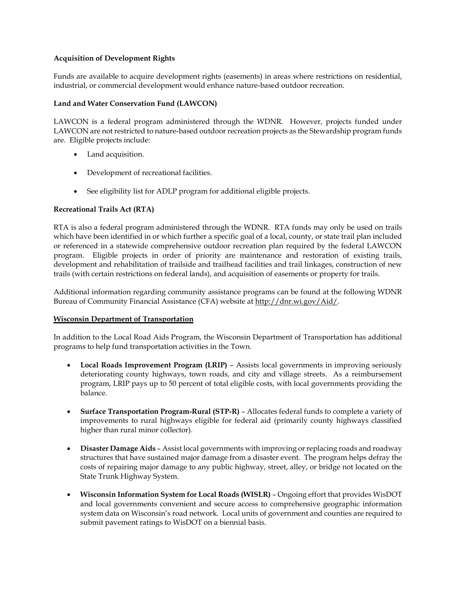#### **Acquisition of Development Rights**

Funds are available to acquire development rights (easements) in areas where restrictions on residential, industrial, or commercial development would enhance nature-based outdoor recreation.

#### **Land and Water Conservation Fund (LAWCON)**

LAWCON is a federal program administered through the WDNR. However, projects funded under LAWCON are not restricted to nature-based outdoor recreation projects as the Stewardship program funds are. Eligible projects include:

- Land acquisition.
- Development of recreational facilities.
- See eligibility list for ADLP program for additional eligible projects.

#### **Recreational Trails Act (RTA)**

RTA is also a federal program administered through the WDNR. RTA funds may only be used on trails which have been identified in or which further a specific goal of a local, county, or state trail plan included or referenced in a statewide comprehensive outdoor recreation plan required by the federal LAWCON program. Eligible projects in order of priority are maintenance and restoration of existing trails, development and rehabilitation of trailside and trailhead facilities and trail linkages, construction of new trails (with certain restrictions on federal lands), and acquisition of easements or property for trails.

Additional information regarding community assistance programs can be found at the following WDNR Bureau of Community Financial Assistance (CFA) website at http://dnr.wi.gov/Aid/.

#### **Wisconsin Department of Transportation**

In addition to the Local Road Aids Program, the Wisconsin Department of Transportation has additional programs to help fund transportation activities in the Town.

- **Local Roads Improvement Program (LRIP)**  Assists local governments in improving seriously deteriorating county highways, town roads, and city and village streets. As a reimbursement program, LRIP pays up to 50 percent of total eligible costs, with local governments providing the balance.
- **Surface Transportation Program-Rural (STP-R)** Allocates federal funds to complete a variety of improvements to rural highways eligible for federal aid (primarily county highways classified higher than rural minor collector).
- **Disaster Damage Aids**  Assist local governments with improving or replacing roads and roadway structures that have sustained major damage from a disaster event. The program helps defray the costs of repairing major damage to any public highway, street, alley, or bridge not located on the State Trunk Highway System.
- **Wisconsin Information System for Local Roads (WISLR)**  Ongoing effort that provides WisDOT and local governments convenient and secure access to comprehensive geographic information system data on Wisconsin's road network. Local units of government and counties are required to submit pavement ratings to WisDOT on a biennial basis.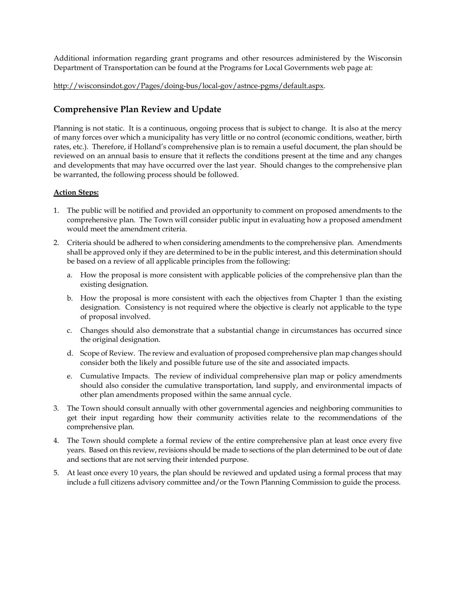Additional information regarding grant programs and other resources administered by the Wisconsin Department of Transportation can be found at the Programs for Local Governments web page at:

#### http://wisconsindot.gov/Pages/doing-bus/local-gov/astnce-pgms/default.aspx.

### **Comprehensive Plan Review and Update**

Planning is not static. It is a continuous, ongoing process that is subject to change. It is also at the mercy of many forces over which a municipality has very little or no control (economic conditions, weather, birth rates, etc.). Therefore, if Holland's comprehensive plan is to remain a useful document, the plan should be reviewed on an annual basis to ensure that it reflects the conditions present at the time and any changes and developments that may have occurred over the last year. Should changes to the comprehensive plan be warranted, the following process should be followed.

#### **Action Steps:**

- 1. The public will be notified and provided an opportunity to comment on proposed amendments to the comprehensive plan. The Town will consider public input in evaluating how a proposed amendment would meet the amendment criteria.
- 2. Criteria should be adhered to when considering amendments to the comprehensive plan. Amendments shall be approved only if they are determined to be in the public interest, and this determination should be based on a review of all applicable principles from the following:
	- a. How the proposal is more consistent with applicable policies of the comprehensive plan than the existing designation.
	- b. How the proposal is more consistent with each the objectives from Chapter 1 than the existing designation. Consistency is not required where the objective is clearly not applicable to the type of proposal involved.
	- c. Changes should also demonstrate that a substantial change in circumstances has occurred since the original designation.
	- d. Scope of Review.The review and evaluation of proposed comprehensive plan map changes should consider both the likely and possible future use of the site and associated impacts.
	- e. Cumulative Impacts. The review of individual comprehensive plan map or policy amendments should also consider the cumulative transportation, land supply, and environmental impacts of other plan amendments proposed within the same annual cycle.
- 3. The Town should consult annually with other governmental agencies and neighboring communities to get their input regarding how their community activities relate to the recommendations of the comprehensive plan.
- 4. The Town should complete a formal review of the entire comprehensive plan at least once every five years. Based on this review, revisions should be made to sections of the plan determined to be out of date and sections that are not serving their intended purpose.
- 5. At least once every 10 years, the plan should be reviewed and updated using a formal process that may include a full citizens advisory committee and/or the Town Planning Commission to guide the process.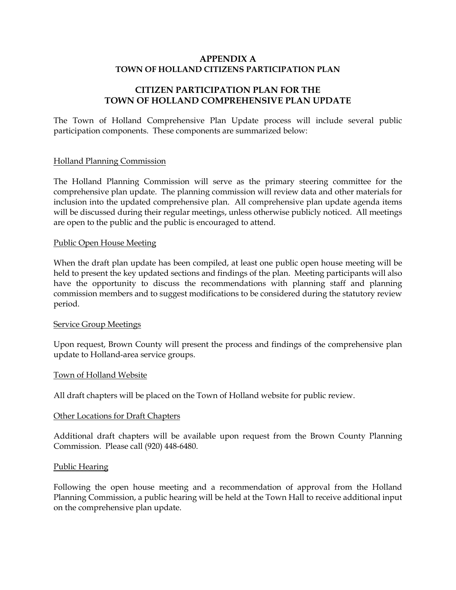### **APPENDIX A TOWN OF HOLLAND CITIZENS PARTICIPATION PLAN**

### **CITIZEN PARTICIPATION PLAN FOR THE TOWN OF HOLLAND COMPREHENSIVE PLAN UPDATE**

The Town of Holland Comprehensive Plan Update process will include several public participation components. These components are summarized below:

#### Holland Planning Commission

The Holland Planning Commission will serve as the primary steering committee for the comprehensive plan update. The planning commission will review data and other materials for inclusion into the updated comprehensive plan. All comprehensive plan update agenda items will be discussed during their regular meetings, unless otherwise publicly noticed. All meetings are open to the public and the public is encouraged to attend.

#### Public Open House Meeting

When the draft plan update has been compiled, at least one public open house meeting will be held to present the key updated sections and findings of the plan. Meeting participants will also have the opportunity to discuss the recommendations with planning staff and planning commission members and to suggest modifications to be considered during the statutory review period.

#### Service Group Meetings

Upon request, Brown County will present the process and findings of the comprehensive plan update to Holland-area service groups.

#### Town of Holland Website

All draft chapters will be placed on the Town of Holland website for public review.

#### Other Locations for Draft Chapters

Additional draft chapters will be available upon request from the Brown County Planning Commission. Please call (920) 448-6480.

#### Public Hearing

Following the open house meeting and a recommendation of approval from the Holland Planning Commission, a public hearing will be held at the Town Hall to receive additional input on the comprehensive plan update.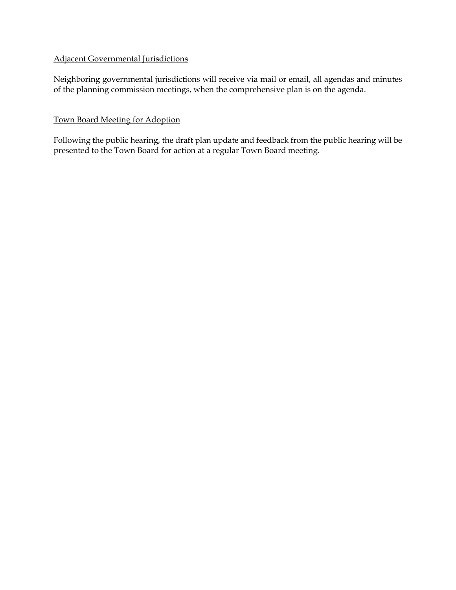### Adjacent Governmental Jurisdictions

Neighboring governmental jurisdictions will receive via mail or email, all agendas and minutes of the planning commission meetings, when the comprehensive plan is on the agenda.

### Town Board Meeting for Adoption

Following the public hearing, the draft plan update and feedback from the public hearing will be presented to the Town Board for action at a regular Town Board meeting.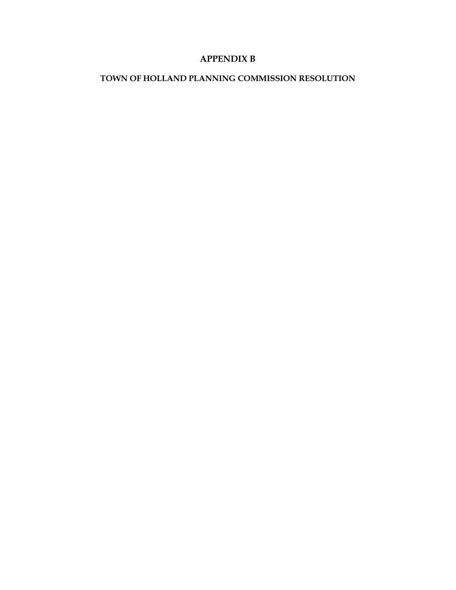# **APPENDIX B**

## **TOWN OF HOLLAND PLANNING COMMISSION RESOLUTION**